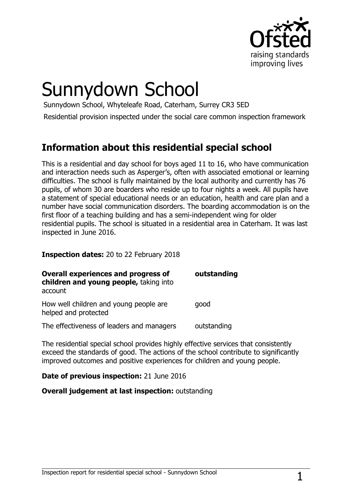

# Sunnydown School

Sunnydown School, Whyteleafe Road, Caterham, Surrey CR3 5ED

Residential provision inspected under the social care common inspection framework

# **Information about this residential special school**

This is a residential and day school for boys aged 11 to 16, who have communication and interaction needs such as Asperger's, often with associated emotional or learning difficulties. The school is fully maintained by the local authority and currently has 76 pupils, of whom 30 are boarders who reside up to four nights a week. All pupils have a statement of special educational needs or an education, health and care plan and a number have social communication disorders. The boarding accommodation is on the first floor of a teaching building and has a semi-independent wing for older residential pupils. The school is situated in a residential area in Caterham. It was last inspected in June 2016.

#### **Inspection dates:** 20 to 22 February 2018

| Overall experiences and progress of<br>children and young people, taking into<br>account | outstanding |
|------------------------------------------------------------------------------------------|-------------|
| How well children and young people are<br>helped and protected                           | good        |
| The effectiveness of leaders and managers                                                | outstanding |

The residential special school provides highly effective services that consistently exceed the standards of good. The actions of the school contribute to significantly improved outcomes and positive experiences for children and young people.

#### **Date of previous inspection:** 21 June 2016

#### **Overall judgement at last inspection:** outstanding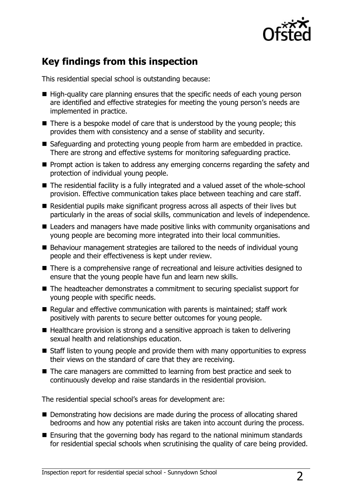

# **Key findings from this inspection**

This residential special school is outstanding because:

- $\blacksquare$  High-quality care planning ensures that the specific needs of each young person are identified and effective strategies for meeting the young person's needs are implemented in practice.
- $\blacksquare$  There is a bespoke model of care that is understood by the young people; this provides them with consistency and a sense of stability and security.
- Safeguarding and protecting young people from harm are embedded in practice. There are strong and effective systems for monitoring safeguarding practice.
- $\blacksquare$  Prompt action is taken to address any emerging concerns regarding the safety and protection of individual young people.
- The residential facility is a fully integrated and a valued asset of the whole-school provision. Effective communication takes place between teaching and care staff.
- Residential pupils make significant progress across all aspects of their lives but particularly in the areas of social skills, communication and levels of independence.
- Leaders and managers have made positive links with community organisations and young people are becoming more integrated into their local communities.
- Behaviour management strategies are tailored to the needs of individual young people and their effectiveness is kept under review.
- There is a comprehensive range of recreational and leisure activities designed to ensure that the young people have fun and learn new skills.
- The headteacher demonstrates a commitment to securing specialist support for young people with specific needs.
- Regular and effective communication with parents is maintained; staff work positively with parents to secure better outcomes for young people.
- $\blacksquare$  Healthcare provision is strong and a sensitive approach is taken to delivering sexual health and relationships education.
- Staff listen to young people and provide them with many opportunities to express their views on the standard of care that they are receiving.
- The care managers are committed to learning from best practice and seek to continuously develop and raise standards in the residential provision.

The residential special school's areas for development are:

- Demonstrating how decisions are made during the process of allocating shared bedrooms and how any potential risks are taken into account during the process.
- Ensuring that the governing body has regard to the national minimum standards for residential special schools when scrutinising the quality of care being provided.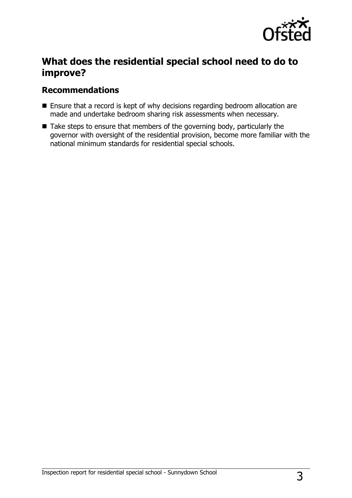

# **What does the residential special school need to do to improve?**

### **Recommendations**

- Ensure that a record is kept of why decisions regarding bedroom allocation are made and undertake bedroom sharing risk assessments when necessary.
- $\blacksquare$  Take steps to ensure that members of the governing body, particularly the governor with oversight of the residential provision, become more familiar with the national minimum standards for residential special schools.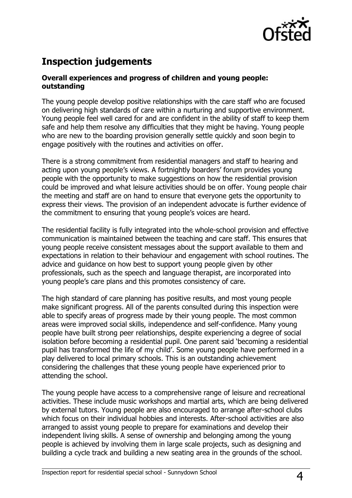

# **Inspection judgements**

#### **Overall experiences and progress of children and young people: outstanding**

The young people develop positive relationships with the care staff who are focused on delivering high standards of care within a nurturing and supportive environment. Young people feel well cared for and are confident in the ability of staff to keep them safe and help them resolve any difficulties that they might be having. Young people who are new to the boarding provision generally settle quickly and soon begin to engage positively with the routines and activities on offer.

There is a strong commitment from residential managers and staff to hearing and acting upon young people's views. A fortnightly boarders' forum provides young people with the opportunity to make suggestions on how the residential provision could be improved and what leisure activities should be on offer. Young people chair the meeting and staff are on hand to ensure that everyone gets the opportunity to express their views. The provision of an independent advocate is further evidence of the commitment to ensuring that young people's voices are heard.

The residential facility is fully integrated into the whole-school provision and effective communication is maintained between the teaching and care staff. This ensures that young people receive consistent messages about the support available to them and expectations in relation to their behaviour and engagement with school routines. The advice and guidance on how best to support young people given by other professionals, such as the speech and language therapist, are incorporated into young people's care plans and this promotes consistency of care.

The high standard of care planning has positive results, and most young people make significant progress. All of the parents consulted during this inspection were able to specify areas of progress made by their young people. The most common areas were improved social skills, independence and self-confidence. Many young people have built strong peer relationships, despite experiencing a degree of social isolation before becoming a residential pupil. One parent said 'becoming a residential pupil has transformed the life of my child'. Some young people have performed in a play delivered to local primary schools. This is an outstanding achievement considering the challenges that these young people have experienced prior to attending the school.

The young people have access to a comprehensive range of leisure and recreational activities. These include music workshops and martial arts, which are being delivered by external tutors. Young people are also encouraged to arrange after-school clubs which focus on their individual hobbies and interests. After-school activities are also arranged to assist young people to prepare for examinations and develop their independent living skills. A sense of ownership and belonging among the young people is achieved by involving them in large scale projects, such as designing and building a cycle track and building a new seating area in the grounds of the school.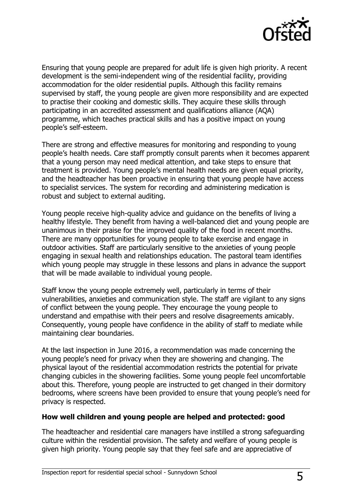

Ensuring that young people are prepared for adult life is given high priority. A recent development is the semi-independent wing of the residential facility, providing accommodation for the older residential pupils. Although this facility remains supervised by staff, the young people are given more responsibility and are expected to practise their cooking and domestic skills. They acquire these skills through participating in an accredited assessment and qualifications alliance (AQA) programme, which teaches practical skills and has a positive impact on young people's self-esteem.

There are strong and effective measures for monitoring and responding to young people's health needs. Care staff promptly consult parents when it becomes apparent that a young person may need medical attention, and take steps to ensure that treatment is provided. Young people's mental health needs are given equal priority, and the headteacher has been proactive in ensuring that young people have access to specialist services. The system for recording and administering medication is robust and subject to external auditing.

Young people receive high-quality advice and guidance on the benefits of living a healthy lifestyle. They benefit from having a well-balanced diet and young people are unanimous in their praise for the improved quality of the food in recent months. There are many opportunities for young people to take exercise and engage in outdoor activities. Staff are particularly sensitive to the anxieties of young people engaging in sexual health and relationships education. The pastoral team identifies which young people may struggle in these lessons and plans in advance the support that will be made available to individual young people.

Staff know the young people extremely well, particularly in terms of their vulnerabilities, anxieties and communication style. The staff are vigilant to any signs of conflict between the young people. They encourage the young people to understand and empathise with their peers and resolve disagreements amicably. Consequently, young people have confidence in the ability of staff to mediate while maintaining clear boundaries.

At the last inspection in June 2016, a recommendation was made concerning the young people's need for privacy when they are showering and changing. The physical layout of the residential accommodation restricts the potential for private changing cubicles in the showering facilities. Some young people feel uncomfortable about this. Therefore, young people are instructed to get changed in their dormitory bedrooms, where screens have been provided to ensure that young people's need for privacy is respected.

#### **How well children and young people are helped and protected: good**

The headteacher and residential care managers have instilled a strong safeguarding culture within the residential provision. The safety and welfare of young people is given high priority. Young people say that they feel safe and are appreciative of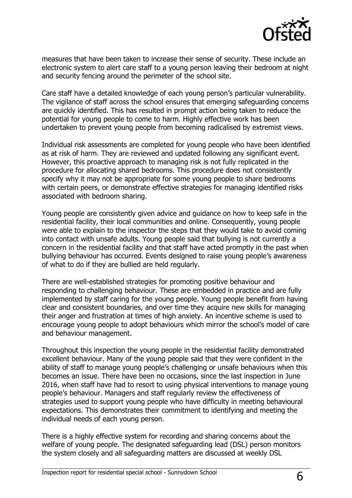

measures that have been taken to increase their sense of security. These include an electronic system to alert care staff to a young person leaving their bedroom at night and security fencing around the perimeter of the school site.

Care staff have a detailed knowledge of each young person's particular vulnerability. The vigilance of staff across the school ensures that emerging safeguarding concerns are quickly identified. This has resulted in prompt action being taken to reduce the potential for young people to come to harm. Highly effective work has been undertaken to prevent young people from becoming radicalised by extremist views.

Individual risk assessments are completed for young people who have been identified as at risk of harm. They are reviewed and updated following any significant event. However, this proactive approach to managing risk is not fully replicated in the procedure for allocating shared bedrooms. This procedure does not consistently specify why it may not be appropriate for some young people to share bedrooms with certain peers, or demonstrate effective strategies for managing identified risks associated with bedroom sharing.

Young people are consistently given advice and guidance on how to keep safe in the residential facility, their local communities and online. Consequently, young people were able to explain to the inspector the steps that they would take to avoid coming into contact with unsafe adults. Young people said that bullying is not currently a concern in the residential facility and that staff have acted promptly in the past when bullying behaviour has occurred. Events designed to raise young people's awareness of what to do if they are bullied are held regularly.

There are well-established strategies for promoting positive behaviour and responding to challenging behaviour. These are embedded in practice and are fully implemented by staff caring for the young people. Young people benefit from having clear and consistent boundaries, and over time they acquire new skills for managing their anger and frustration at times of high anxiety. An incentive scheme is used to encourage young people to adopt behaviours which mirror the school's model of care and behaviour management.

Throughout this inspection the young people in the residential facility demonstrated excellent behaviour. Many of the young people said that they were confident in the ability of staff to manage young people's challenging or unsafe behaviours when this becomes an issue. There have been no occasions, since the last inspection in June 2016, when staff have had to resort to using physical interventions to manage young people's behaviour. Managers and staff regularly review the effectiveness of strategies used to support young people who have difficulty in meeting behavioural expectations. This demonstrates their commitment to identifying and meeting the individual needs of each young person.

There is a highly effective system for recording and sharing concerns about the welfare of young people. The designated safeguarding lead (DSL) person monitors the system closely and all safeguarding matters are discussed at weekly DSL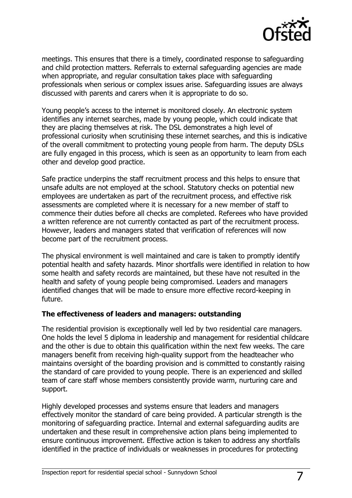

meetings. This ensures that there is a timely, coordinated response to safeguarding and child protection matters. Referrals to external safeguarding agencies are made when appropriate, and regular consultation takes place with safeguarding professionals when serious or complex issues arise. Safeguarding issues are always discussed with parents and carers when it is appropriate to do so.

Young people's access to the internet is monitored closely. An electronic system identifies any internet searches, made by young people, which could indicate that they are placing themselves at risk. The DSL demonstrates a high level of professional curiosity when scrutinising these internet searches, and this is indicative of the overall commitment to protecting young people from harm. The deputy DSLs are fully engaged in this process, which is seen as an opportunity to learn from each other and develop good practice.

Safe practice underpins the staff recruitment process and this helps to ensure that unsafe adults are not employed at the school. Statutory checks on potential new employees are undertaken as part of the recruitment process, and effective risk assessments are completed where it is necessary for a new member of staff to commence their duties before all checks are completed. Referees who have provided a written reference are not currently contacted as part of the recruitment process. However, leaders and managers stated that verification of references will now become part of the recruitment process.

The physical environment is well maintained and care is taken to promptly identify potential health and safety hazards. Minor shortfalls were identified in relation to how some health and safety records are maintained, but these have not resulted in the health and safety of young people being compromised. Leaders and managers identified changes that will be made to ensure more effective record-keeping in future.

#### **The effectiveness of leaders and managers: outstanding**

The residential provision is exceptionally well led by two residential care managers. One holds the level 5 diploma in leadership and management for residential childcare and the other is due to obtain this qualification within the next few weeks. The care managers benefit from receiving high-quality support from the headteacher who maintains oversight of the boarding provision and is committed to constantly raising the standard of care provided to young people. There is an experienced and skilled team of care staff whose members consistently provide warm, nurturing care and support.

Highly developed processes and systems ensure that leaders and managers effectively monitor the standard of care being provided. A particular strength is the monitoring of safeguarding practice. Internal and external safeguarding audits are undertaken and these result in comprehensive action plans being implemented to ensure continuous improvement. Effective action is taken to address any shortfalls identified in the practice of individuals or weaknesses in procedures for protecting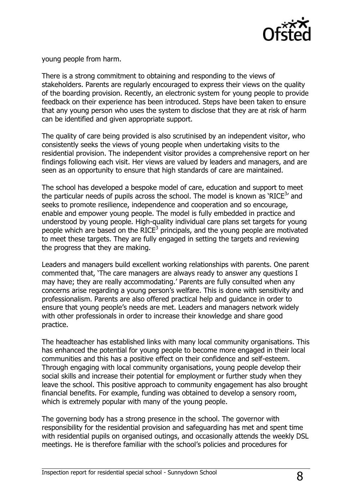

young people from harm.

There is a strong commitment to obtaining and responding to the views of stakeholders. Parents are regularly encouraged to express their views on the quality of the boarding provision. Recently, an electronic system for young people to provide feedback on their experience has been introduced. Steps have been taken to ensure that any young person who uses the system to disclose that they are at risk of harm can be identified and given appropriate support.

The quality of care being provided is also scrutinised by an independent visitor, who consistently seeks the views of young people when undertaking visits to the residential provision. The independent visitor provides a comprehensive report on her findings following each visit. Her views are valued by leaders and managers, and are seen as an opportunity to ensure that high standards of care are maintained.

The school has developed a bespoke model of care, education and support to meet the particular needs of pupils across the school. The model is known as 'RICE<sup>3</sup>' and seeks to promote resilience, independence and cooperation and so encourage, enable and empower young people. The model is fully embedded in practice and understood by young people. High-quality individual care plans set targets for young people which are based on the RICE<sup>3</sup> principals, and the young people are motivated to meet these targets. They are fully engaged in setting the targets and reviewing the progress that they are making.

Leaders and managers build excellent working relationships with parents. One parent commented that, 'The care managers are always ready to answer any questions I may have; they are really accommodating.' Parents are fully consulted when any concerns arise regarding a young person's welfare. This is done with sensitivity and professionalism. Parents are also offered practical help and guidance in order to ensure that young people's needs are met. Leaders and managers network widely with other professionals in order to increase their knowledge and share good practice.

The headteacher has established links with many local community organisations. This has enhanced the potential for young people to become more engaged in their local communities and this has a positive effect on their confidence and self-esteem. Through engaging with local community organisations, young people develop their social skills and increase their potential for employment or further study when they leave the school. This positive approach to community engagement has also brought financial benefits. For example, funding was obtained to develop a sensory room, which is extremely popular with many of the young people.

The governing body has a strong presence in the school. The governor with responsibility for the residential provision and safeguarding has met and spent time with residential pupils on organised outings, and occasionally attends the weekly DSL meetings. He is therefore familiar with the school's policies and procedures for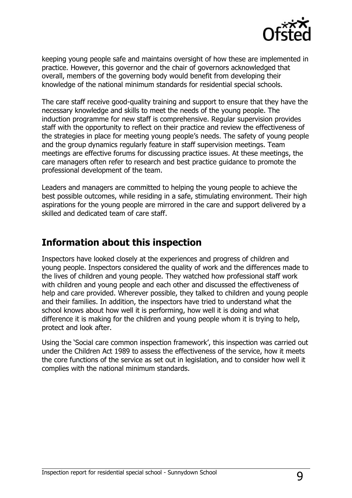

keeping young people safe and maintains oversight of how these are implemented in practice. However, this governor and the chair of governors acknowledged that overall, members of the governing body would benefit from developing their knowledge of the national minimum standards for residential special schools.

The care staff receive good-quality training and support to ensure that they have the necessary knowledge and skills to meet the needs of the young people. The induction programme for new staff is comprehensive. Regular supervision provides staff with the opportunity to reflect on their practice and review the effectiveness of the strategies in place for meeting young people's needs. The safety of young people and the group dynamics regularly feature in staff supervision meetings. Team meetings are effective forums for discussing practice issues. At these meetings, the care managers often refer to research and best practice guidance to promote the professional development of the team.

Leaders and managers are committed to helping the young people to achieve the best possible outcomes, while residing in a safe, stimulating environment. Their high aspirations for the young people are mirrored in the care and support delivered by a skilled and dedicated team of care staff.

## **Information about this inspection**

Inspectors have looked closely at the experiences and progress of children and young people. Inspectors considered the quality of work and the differences made to the lives of children and young people. They watched how professional staff work with children and young people and each other and discussed the effectiveness of help and care provided. Wherever possible, they talked to children and young people and their families. In addition, the inspectors have tried to understand what the school knows about how well it is performing, how well it is doing and what difference it is making for the children and young people whom it is trying to help, protect and look after.

Using the 'Social care common inspection framework', this inspection was carried out under the Children Act 1989 to assess the effectiveness of the service, how it meets the core functions of the service as set out in legislation, and to consider how well it complies with the national minimum standards.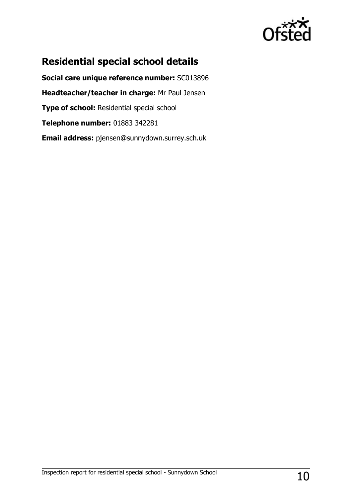

# **Residential special school details**

**Social care unique reference number:** SC013896 **Headteacher/teacher in charge:** Mr Paul Jensen **Type of school: Residential special school Telephone number:** 01883 342281 **Email address:** pjensen@sunnydown.surrey.sch.uk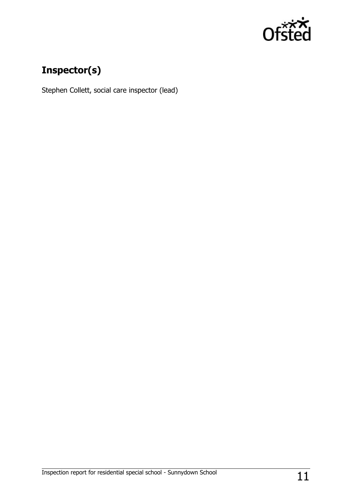

# **Inspector(s)**

Stephen Collett, social care inspector (lead)